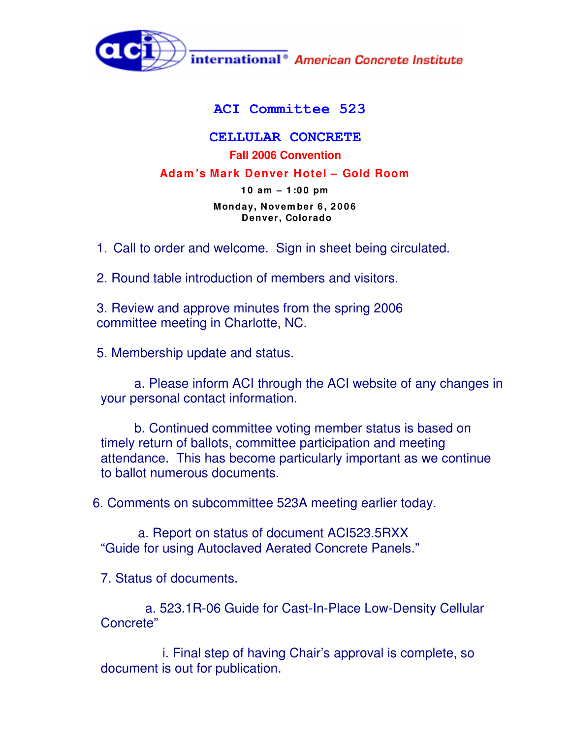

## **ACI Committee 523**

## **CELLULAR CONCRETE Fall 2006 Convention Adam 's Mark Denver Hotel – Gold Room 1 0 am – 1 :0 0 pm Monday, Novem ber 6 , 2 0 0 6 Denver, Colorado**

1. Call to order and welcome. Sign in sheet being circulated.

2. Round table introduction of members and visitors.

3. Review and approve minutes from the spring 2006 committee meeting in Charlotte, NC.

5. Membership update and status.

a. Please inform ACI through the ACI website of any changes in your personal contact information.

b. Continued committee voting member status is based on timely return of ballots, committee participation and meeting attendance. This has become particularly important as we continue to ballot numerous documents.

6. Comments on subcommittee 523A meeting earlier today.

a. Report on status of document ACI523.5RXX "Guide for using Autoclaved Aerated Concrete Panels."

7. Status of documents.

a. 523.1R-06 Guide for Cast-In-Place Low-Density Cellular Concrete"

i. Final step of having Chair's approval is complete, so document is out for publication.